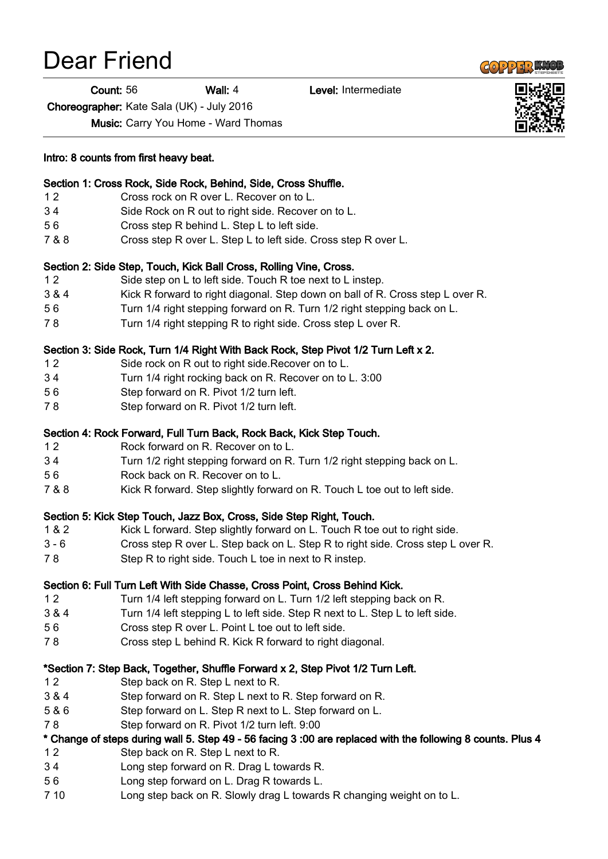# Dear Friend

Count: 56 Wall: 4 Level: Intermediate

Choreographer: Kate Sala (UK) - July 2016

Music: Carry You Home - Ward Thomas

Intro: 8 counts from first heavy beat.

#### Section 1: Cross Rock, Side Rock, Behind, Side, Cross Shuffle.

- 1 2 Cross rock on R over L. Recover on to L.
- 3 4 Side Rock on R out to right side. Recover on to L.
- 5 6 Cross step R behind L. Step L to left side.
- 7 & 8 Cross step R over L. Step L to left side. Cross step R over L.

## Section 2: Side Step, Touch, Kick Ball Cross, Rolling Vine, Cross.

- 1 2 Side step on L to left side. Touch R toe next to L instep.
- 3 & 4 Kick R forward to right diagonal. Step down on ball of R. Cross step L over R.
- 5 6 Turn 1/4 right stepping forward on R. Turn 1/2 right stepping back on L.
- 7 8 Turn 1/4 right stepping R to right side. Cross step L over R.

#### Section 3: Side Rock, Turn 1/4 Right With Back Rock, Step Pivot 1/2 Turn Left x 2.

- 1 2 Side rock on R out to right side.Recover on to L.
- 3 4 Turn 1/4 right rocking back on R. Recover on to L. 3:00
- 5 6 Step forward on R. Pivot 1/2 turn left.
- 7 8 Step forward on R. Pivot 1/2 turn left.

#### Section 4: Rock Forward, Full Turn Back, Rock Back, Kick Step Touch.

- 1 2 Rock forward on R. Recover on to L.
- 3 4 Turn 1/2 right stepping forward on R. Turn 1/2 right stepping back on L.
- 5 6 Rock back on R. Recover on to L.
- 7 & 8 Kick R forward. Step slightly forward on R. Touch L toe out to left side.

#### Section 5: Kick Step Touch, Jazz Box, Cross, Side Step Right, Touch.

- 1 & 2 Kick L forward. Step slightly forward on L. Touch R toe out to right side.
- 3 6 Cross step R over L. Step back on L. Step R to right side. Cross step L over R.
- 7 8 Step R to right side. Touch L toe in next to R instep.

#### Section 6: Full Turn Left With Side Chasse, Cross Point, Cross Behind Kick.

- 1 2 Turn 1/4 left stepping forward on L. Turn 1/2 left stepping back on R.
- 3 & 4 Turn 1/4 left stepping L to left side. Step R next to L. Step L to left side.
- 5 6 Cross step R over L. Point L toe out to left side.
- 7 8 Cross step L behind R. Kick R forward to right diagonal.

### \*Section 7: Step Back, Together, Shuffle Forward x 2, Step Pivot 1/2 Turn Left.

- 1 2 Step back on R. Step L next to R.
- 3 & 4 Step forward on R. Step L next to R. Step forward on R.
- 5 & 6 Step forward on L. Step R next to L. Step forward on L.
- 7 8 Step forward on R. Pivot 1/2 turn left. 9:00

## \* Change of steps during wall 5. Step 49 - 56 facing 3 :00 are replaced with the following 8 counts. Plus 4

- 1 2 Step back on R. Step L next to R.
- 3 4 Long step forward on R. Drag L towards R.
- 5 6 Long step forward on L. Drag R towards L.
- 7 10 Long step back on R. Slowly drag L towards R changing weight on to L.